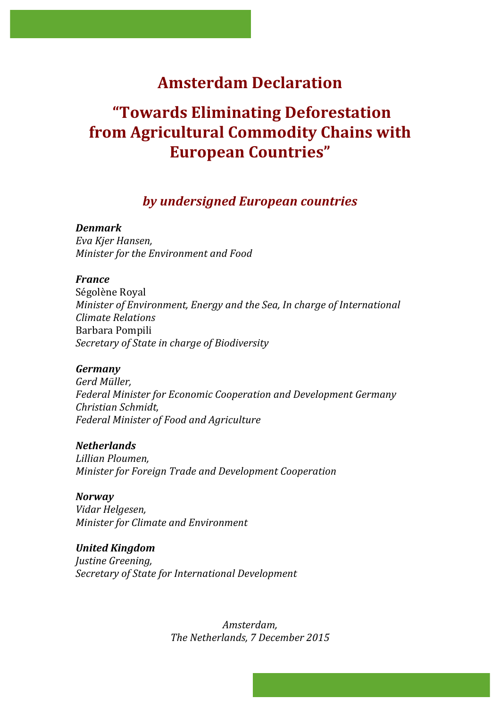# **Amsterdam Declaration**

# **"Towards Eliminating Deforestation from Agricultural Commodity Chains with European Countries"**

# *by undersigned European countries*

# *Denmark*

*Eva Kjer Hansen, Minister for the Environment and Food* 

# *France*

Ségolène Royal *Minister of Environment, Energy and the Sea, In charge of International Climate Relations* Barbara Pompili *Secretary of State in charge of Biodiversity*

## *Germany*

*Gerd Müller, Federal Minister for Economic Cooperation and Development Germany Christian Schmidt, Federal Minister of Food and Agriculture*

*Netherlands Lillian Ploumen, Minister for Foreign Trade and Development Cooperation*

## *Norway*

*Vidar Helgesen, Minister for Climate and Environment* 

*United Kingdom Justine Greening, Secretary of State for International Development*

> *Amsterdam,*  The Netherlands, 7 December 2015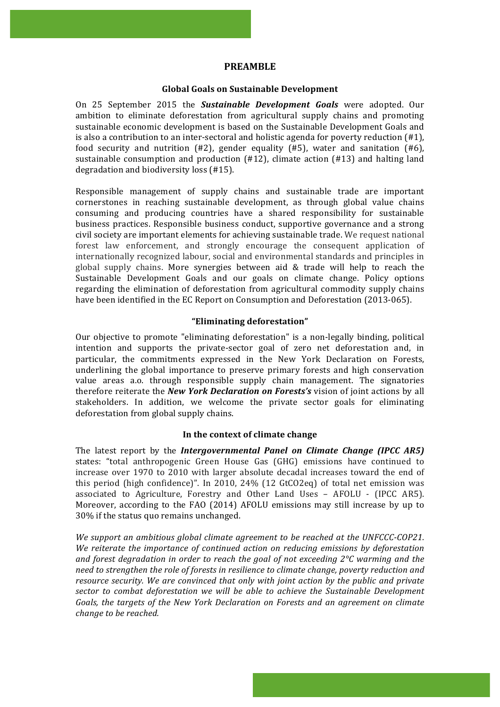#### **PREAMBLE**

#### **Global Goals on Sustainable Development**

On 25 September 2015 the **Sustainable Development Goals** were adopted. Our ambition to eliminate deforestation from agricultural supply chains and promoting sustainable economic development is based on the Sustainable Development Goals and is also a contribution to an inter-sectoral and holistic agenda for poverty reduction  $(H1)$ , food security and nutrition  $(H2)$ , gender equality  $(H5)$ , water and sanitation  $(H6)$ , sustainable consumption and production  $(\#12)$ , climate action  $(\#13)$  and halting land degradation and biodiversity  $\log$  (#15).

Responsible management of supply chains and sustainable trade are important cornerstones in reaching sustainable development, as through global value chains consuming and producing countries have a shared responsibility for sustainable business practices. Responsible business conduct, supportive governance and a strong civil society are important elements for achieving sustainable trade. We request national forest law enforcement, and strongly encourage the consequent application of internationally recognized labour, social and environmental standards and principles in global supply chains. More synergies between aid  $&$  trade will help to reach the Sustainable Development Goals and our goals on climate change. Policy options regarding the elimination of deforestation from agricultural commodity supply chains have been identified in the EC Report on Consumption and Deforestation (2013-065).

#### **"Eliminating deforestation"**

Our objective to promote "eliminating deforestation" is a non-legally binding, political intention and supports the private-sector goal of zero net deforestation and, in particular, the commitments expressed in the New York Declaration on Forests, underlining the global importance to preserve primary forests and high conservation value areas a.o. through responsible supply chain management. The signatories therefore reiterate the *New York Declaration on Forests's* vision of joint actions by all stakeholders. In addition, we welcome the private sector goals for eliminating deforestation from global supply chains.

#### In the context of climate change

The latest report by the *Intergovernmental Panel on Climate Change* (IPCC AR5) states: "total anthropogenic Green House Gas (GHG) emissions have continued to increase over 1970 to 2010 with larger absolute decadal increases toward the end of this period (high confidence)". In 2010,  $24\%$  (12 GtCO2eq) of total net emission was associated to Agriculture, Forestry and Other Land Uses - AFOLU - (IPCC AR5). Moreover, according to the FAO (2014) AFOLU emissions may still increase by up to 30% if the status quo remains unchanged.

We support an ambitious global climate agreement to be reached at the UNFCCC-COP21. We reiterate the importance of continued action on reducing emissions by deforestation and forest degradation in order to reach the goal of not exceeding 2°C warming and the need to strengthen the role of forests in resilience to climate change, poverty reduction and *resource security.* We are convinced that only with joint action by the public and private sector to combat deforestation we will be able to achieve the Sustainable Development Goals, the targets of the New York Declaration on Forests and an agreement on climate *change to be reached.*